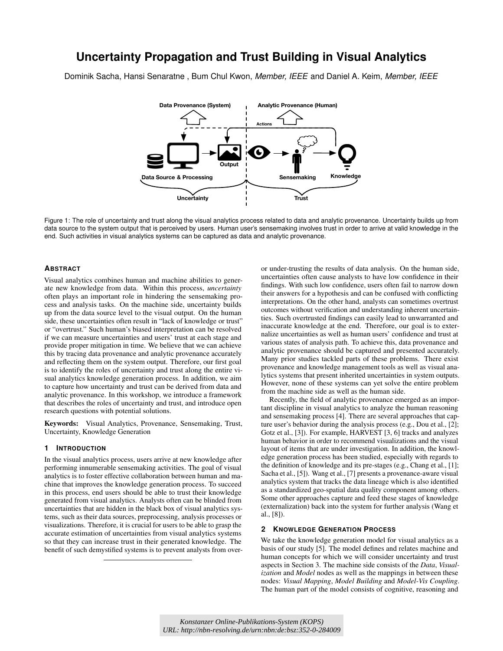# **Uncertainty Propagation and Trust Building in Visual Analytics**

Dominik Sacha, Hansi Senaratne , Bum Chul Kwon, *Member, IEEE* and Daniel A. Keim, *Member, IEEE*



Figure 1: The role of uncertainty and trust along the visual analytics process related to data and analytic provenance. Uncertainty builds up from data source to the system output that is perceived by users. Human user's sensemaking involves trust in order to arrive at valid knowledge in the end. Such activities in visual analytics systems can be captured as data and analytic provenance.

### **ABSTRACT**

Visual analytics combines human and machine abilities to generate new knowledge from data. Within this process, *uncertainty* often plays an important role in hindering the sensemaking process and analysis tasks. On the machine side, uncertainty builds up from the data source level to the visual output. On the human side, these uncertainties often result in "lack of knowledge or trust" or "overtrust." Such human's biased interpretation can be resolved if we can measure uncertainties and users' trust at each stage and provide proper mitigation in time. We believe that we can achieve this by tracing data provenance and analytic provenance accurately and reflecting them on the system output. Therefore, our first goal is to identify the roles of uncertainty and trust along the entire visual analytics knowledge generation process. In addition, we aim to capture how uncertainty and trust can be derived from data and analytic provenance. In this workshop, we introduce a framework that describes the roles of uncertainty and trust, and introduce open research questions with potential solutions.

Keywords: Visual Analytics, Provenance, Sensemaking, Trust, Uncertainty, Knowledge Generation

#### **1 INTRODUCTION**

In the visual analytics process, users arrive at new knowledge after performing innumerable sensemaking activities. The goal of visual analytics is to foster effective collaboration between human and machine that improves the knowledge generation process. To succeed in this process, end users should be able to trust their knowledge generated from visual analytics. Analysts often can be blinded from uncertainties that are hidden in the black box of visual analytics systems, such as their data sources, preprocessing, analysis processes or visualizations. Therefore, it is crucial for users to be able to grasp the accurate estimation of uncertainties from visual analytics systems so that they can increase trust in their generated knowledge. The benefit of such demystified systems is to prevent analysts from over-

or under-trusting the results of data analysis. On the human side, uncertainties often cause analysts to have low confidence in their findings. With such low confidence, users often fail to narrow down their answers for a hypothesis and can be confused with conflicting interpretations. On the other hand, analysts can sometimes overtrust outcomes without verification and understanding inherent uncertainties. Such overtrusted findings can easily lead to unwarranted and inaccurate knowledge at the end. Therefore, our goal is to externalize uncertainties as well as human users' confidence and trust at various states of analysis path. To achieve this, data provenance and analytic provenance should be captured and presented accurately. Many prior studies tackled parts of these problems. There exist provenance and knowledge management tools as well as visual analytics systems that present inherited uncertainties in system outputs. However, none of these systems can yet solve the entire problem from the machine side as well as the human side.

Recently, the field of analytic provenance emerged as an important discipline in visual analytics to analyze the human reasoning and sensemaking process [\[4\]](#page-1-0). There are several approaches that capture user's behavior during the analysis process (e.g., Dou et al., [\[2\]](#page-1-1); Gotz et al., [\[3\]](#page-1-2)). For example, HARVEST [\[3,](#page-1-2) [6\]](#page-1-3) tracks and analyzes human behavior in order to recommend visualizations and the visual layout of items that are under investigation. In addition, the knowledge generation process has been studied, especially with regards to the definition of knowledge and its pre-stages (e.g., Chang et al., [\[1\]](#page-1-4); Sacha et al., [\[5\]](#page-1-5)). Wang et al., [\[7\]](#page-1-6) presents a provenance-aware visual analytics system that tracks the data lineage which is also identified as a standardized geo-spatial data quality component among others. Some other approaches capture and feed these stages of knowledge (externalization) back into the system for further analysis (Wang et al., [\[8\]](#page-1-7)).

# **2 KNOWLEDGE GENERATION PROCESS**

We take the knowledge generation model for visual analytics as a basis of our study [\[5\]](#page-1-5). The model defines and relates machine and human concepts for which we will consider uncertainty and trust aspects in Section [3.](#page-1-8) The machine side consists of the *Data*, *Visualization* and *Model* nodes as well as the mappings in between these nodes: *Visual Mapping*, *Model Building* and *Model-Vis Coupling*. The human part of the model consists of cognitive, reasoning and